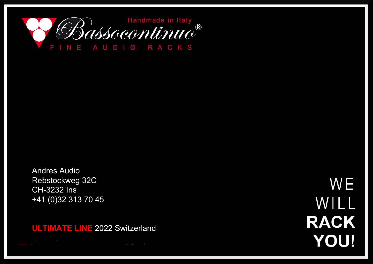

Andres Audio Rebstockweg 32C CH-3232 Ins +41 (0)32 313 70 45

**ULTIMATE LINE** 2022 Switzerland

WE WILL **RACK YOU!**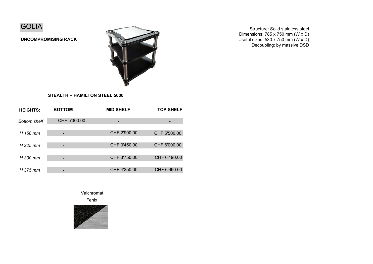

**UNCOMPROMISING RACK**



Structure: Solid stainless steel Dimensions: 785 x 750 mm (W x D) Useful sizes: 530 x 750 mm (W x D) Decoupling: by massive DSD

## **STEALTH + HAMILTON STEEL 5000**

| <b>HEIGHTS:</b>     | <b>BOTTOM</b> | <b>MID SHELF</b> | <b>TOP SHELF</b> |
|---------------------|---------------|------------------|------------------|
| <b>Bottom shelf</b> | CHF 5'300.00  |                  |                  |
| H 150 mm            |               | CHF 2'990.00     | CHF 5'500.00     |
| H 225 mm            |               | CHF 3'450.00     | CHF 6'000.00     |
| H 300 mm            |               | CHF 3'750.00     | CHF 6'490.00     |
| H 375 mm            |               | CHF 4'250.00     | CHF 6'690.00     |

Valchromat

Fenix

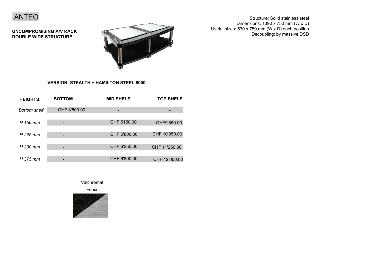

**UNCOMPROMISING A/V RACK DOUBLE WIDE STRUCTURE**



Structure: Solid stainless steel Dimensions: 1390 x 750 mm (W x D) Useful sizes: 530 x 750 mm (W x D) each position Decoupling: by massive DSD

## **VERSION: STEALTH + HAMILTON STEEL 5000**

| <b>HEIGHTS:</b>     | <b>BOTTOM</b> | <b>MID SHELF</b> | <b>TOP SHELF</b> |
|---------------------|---------------|------------------|------------------|
| <b>Bottom shelf</b> | CHF 8'800.00  |                  |                  |
| H 150 mm            |               | CHF 5150.00      | CHF9'850.00      |
| H 225 mm            |               | CHF 5'800.00     | CHF 10'950.00    |
| H 300 mm            |               | CHF 6'250.00     | CHF 11'250.00    |
| H 375 mm            |               | CHF 6'890.00     | CHF 12'000.00    |

Valchromat

Fenix